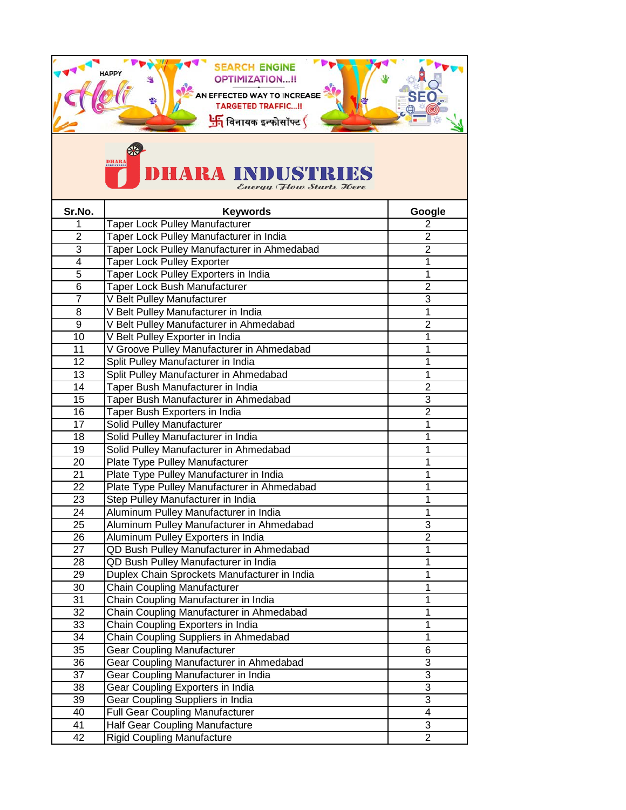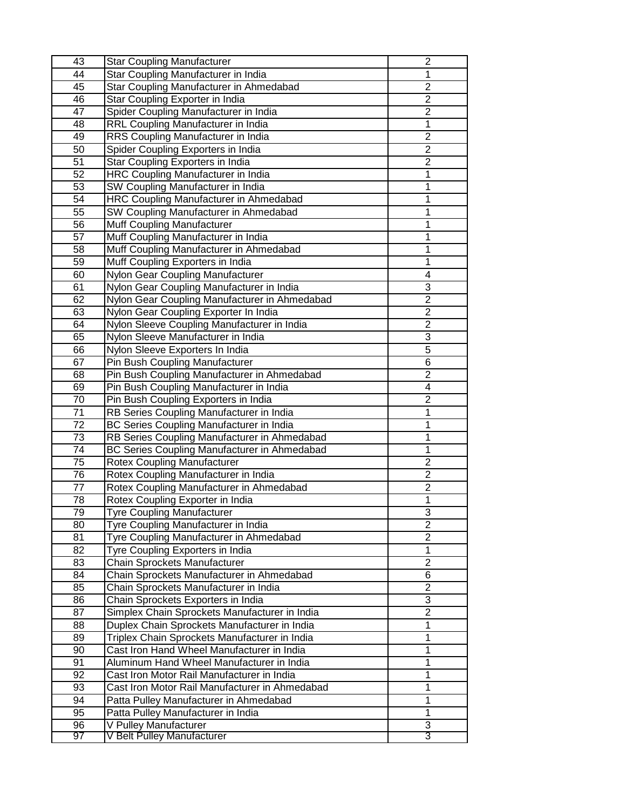| 43 | <b>Star Coupling Manufacturer</b>                                                 | $\overline{2}$ |
|----|-----------------------------------------------------------------------------------|----------------|
| 44 | Star Coupling Manufacturer in India                                               |                |
| 45 | Star Coupling Manufacturer in Ahmedabad                                           | $\overline{c}$ |
| 46 | Star Coupling Exporter in India                                                   | $\overline{2}$ |
| 47 | Spider Coupling Manufacturer in India                                             | $\overline{2}$ |
| 48 | RRL Coupling Manufacturer in India                                                | 1              |
| 49 | RRS Coupling Manufacturer in India                                                | $\overline{2}$ |
| 50 | Spider Coupling Exporters in India                                                | $\overline{2}$ |
| 51 | Star Coupling Exporters in India                                                  | $\mathbf{2}$   |
| 52 | HRC Coupling Manufacturer in India                                                | 1              |
| 53 | SW Coupling Manufacturer in India                                                 | 1              |
| 54 | HRC Coupling Manufacturer in Ahmedabad                                            | 1              |
| 55 | SW Coupling Manufacturer in Ahmedabad                                             | 1              |
| 56 | Muff Coupling Manufacturer                                                        | 1              |
| 57 | Muff Coupling Manufacturer in India                                               | 1              |
| 58 | Muff Coupling Manufacturer in Ahmedabad                                           | 1              |
| 59 | Muff Coupling Exporters in India                                                  | 1              |
| 60 | Nylon Gear Coupling Manufacturer                                                  | 4              |
| 61 | Nylon Gear Coupling Manufacturer in India                                         | 3              |
| 62 | Nylon Gear Coupling Manufacturer in Ahmedabad                                     | $\overline{2}$ |
| 63 | Nylon Gear Coupling Exporter In India                                             | $\overline{2}$ |
| 64 |                                                                                   | $\overline{2}$ |
|    | Nylon Sleeve Coupling Manufacturer in India<br>Nylon Sleeve Manufacturer in India | 3              |
| 65 |                                                                                   | $\overline{5}$ |
| 66 | Nylon Sleeve Exporters In India                                                   |                |
| 67 | Pin Bush Coupling Manufacturer                                                    | 6              |
| 68 | Pin Bush Coupling Manufacturer in Ahmedabad                                       | $\overline{2}$ |
| 69 | Pin Bush Coupling Manufacturer in India                                           | 4              |
| 70 | Pin Bush Coupling Exporters in India                                              | $\overline{c}$ |
| 71 | RB Series Coupling Manufacturer in India                                          | 1              |
| 72 | BC Series Coupling Manufacturer in India                                          | 1              |
| 73 | RB Series Coupling Manufacturer in Ahmedabad                                      | 1              |
| 74 | BC Series Coupling Manufacturer in Ahmedabad                                      | 1              |
| 75 | <b>Rotex Coupling Manufacturer</b>                                                | $\overline{2}$ |
| 76 | Rotex Coupling Manufacturer in India                                              | 2              |
| 77 | Rotex Coupling Manufacturer in Ahmedabad                                          | $\overline{2}$ |
| 78 | Rotex Coupling Exporter in India                                                  | 1              |
| 79 | <b>Tyre Coupling Manufacturer</b>                                                 | 3              |
| 80 | Tyre Coupling Manufacturer in India                                               | $\overline{2}$ |
| 81 | Tyre Coupling Manufacturer in Ahmedabad                                           | $\overline{2}$ |
| 82 | Tyre Coupling Exporters in India                                                  | 1              |
| 83 | Chain Sprockets Manufacturer                                                      | $\overline{2}$ |
| 84 | Chain Sprockets Manufacturer in Ahmedabad                                         | 6              |
| 85 | Chain Sprockets Manufacturer in India                                             | $\overline{2}$ |
| 86 | Chain Sprockets Exporters in India                                                | 3              |
| 87 | Simplex Chain Sprockets Manufacturer in India                                     | $\overline{2}$ |
| 88 | Duplex Chain Sprockets Manufacturer in India                                      | $\mathbf{1}$   |
| 89 | Triplex Chain Sprockets Manufacturer in India                                     | $\mathbf{1}$   |
| 90 | Cast Iron Hand Wheel Manufacturer in India                                        | 1              |
| 91 | Aluminum Hand Wheel Manufacturer in India                                         | 1              |
| 92 | Cast Iron Motor Rail Manufacturer in India                                        | $\mathbf{1}$   |
| 93 | Cast Iron Motor Rail Manufacturer in Ahmedabad                                    | 1              |
| 94 | Patta Pulley Manufacturer in Ahmedabad                                            | 1              |
| 95 | Patta Pulley Manufacturer in India                                                | 1              |
| 96 | V Pulley Manufacturer                                                             | 3              |
| 97 | V Belt Pulley Manufacturer                                                        | 3              |